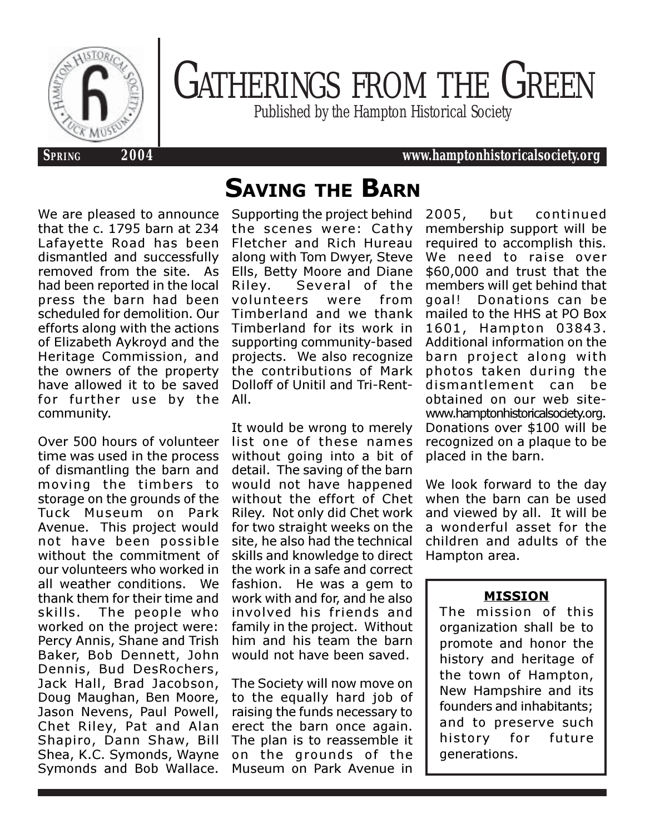

# GATHERINGS FROM THE GREEN

Published by the Hampton Historical Society

**SPRING 2004 www.hamptonhistoricalsociety.org**

We are pleased to announce that the c. 1795 barn at 234 Lafayette Road has been dismantled and successfully removed from the site. As had been reported in the local press the barn had been scheduled for demolition. Our efforts along with the actions of Elizabeth Aykroyd and the Heritage Commission, and the owners of the property have allowed it to be saved for further use by the community.

Over 500 hours of volunteer time was used in the process of dismantling the barn and moving the timbers to storage on the grounds of the Tuck Museum on Park Avenue. This project would not have been possible without the commitment of our volunteers who worked in all weather conditions. We thank them for their time and skills. The people who worked on the project were: Percy Annis, Shane and Trish Baker, Bob Dennett, John Dennis, Bud DesRochers, Jack Hall, Brad Jacobson, Doug Maughan, Ben Moore, Jason Nevens, Paul Powell, Chet Riley, Pat and Alan Shapiro, Dann Shaw, Bill Shea, K.C. Symonds, Wayne Symonds and Bob Wallace.

### SAVING THE BARN

Supporting the project behind the scenes were: Cathy Fletcher and Rich Hureau along with Tom Dwyer, Steve Ells, Betty Moore and Diane Riley. Several of the volunteers were from Timberland and we thank Timberland for its work in supporting community-based projects. We also recognize the contributions of Mark Dolloff of Unitil and Tri-Rent-All.

It would be wrong to merely list one of these names without going into a bit of detail. The saving of the barn would not have happened without the effort of Chet Riley. Not only did Chet work for two straight weeks on the site, he also had the technical skills and knowledge to direct the work in a safe and correct fashion. He was a gem to work with and for, and he also involved his friends and family in the project. Without him and his team the barn would not have been saved.

The Society will now move on to the equally hard job of raising the funds necessary to erect the barn once again. The plan is to reassemble it on the grounds of the Museum on Park Avenue in

2005, but continued membership support will be required to accomplish this. We need to raise over \$60,000 and trust that the members will get behind that goal! Donations can be mailed to the HHS at PO Box 1601, Hampton 03843. Additional information on the barn project along with photos taken during the dismantlement can be obtained on our web sitewww.hamptonhistoricalsociety.org. Donations over \$100 will be recognized on a plaque to be placed in the barn.

We look forward to the day when the barn can be used and viewed by all. It will be a wonderful asset for the children and adults of the Hampton area.

### MISSION

The mission of this organization shall be to promote and honor the history and heritage of the town of Hampton, New Hampshire and its founders and inhabitants; and to preserve such history for future generations.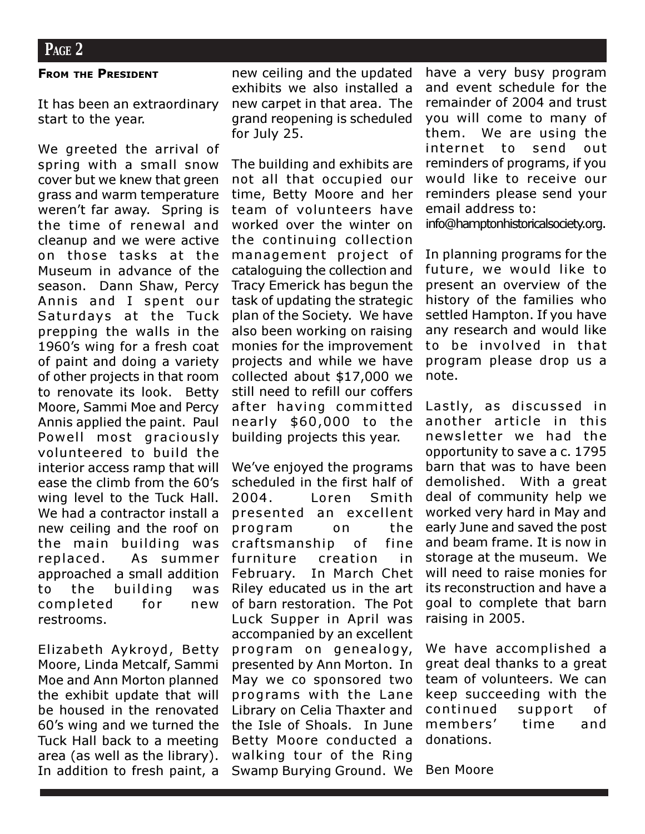#### FROM THE PRESIDENT

It has been an extraordinary start to the year.

We greeted the arrival of spring with a small snow cover but we knew that green grass and warm temperature weren't far away. Spring is the time of renewal and cleanup and we were active on those tasks at the Museum in advance of the season. Dann Shaw, Percy Annis and I spent our Saturdays at the Tuck prepping the walls in the 1960's wing for a fresh coat of paint and doing a variety of other projects in that room to renovate its look. Betty Moore, Sammi Moe and Percy Annis applied the paint. Paul Powell most graciously volunteered to build the interior access ramp that will ease the climb from the 60's wing level to the Tuck Hall. We had a contractor install a new ceiling and the roof on the main building was replaced. As summer approached a small addition to the building was completed for new restrooms.

Elizabeth Aykroyd, Betty Moore, Linda Metcalf, Sammi Moe and Ann Morton planned the exhibit update that will be housed in the renovated 60's wing and we turned the Tuck Hall back to a meeting area (as well as the library). In addition to fresh paint, a

new ceiling and the updated exhibits we also installed a new carpet in that area. The grand reopening is scheduled for July 25.

The building and exhibits are not all that occupied our time, Betty Moore and her team of volunteers have worked over the winter on the continuing collection management project of cataloguing the collection and Tracy Emerick has begun the task of updating the strategic plan of the Society. We have also been working on raising monies for the improvement projects and while we have collected about \$17,000 we still need to refill our coffers after having committed nearly \$60,000 to the building projects this year.

We've enjoyed the programs scheduled in the first half of 2004. Loren Smith presented an excellent program on the craftsmanship of fine furniture creation in February. In March Chet Riley educated us in the art of barn restoration. The Pot Luck Supper in April was accompanied by an excellent program on genealogy, presented by Ann Morton. In May we co sponsored two programs with the Lane Library on Celia Thaxter and the Isle of Shoals. In June Betty Moore conducted a walking tour of the Ring Swamp Burying Ground. We

have a very busy program and event schedule for the remainder of 2004 and trust you will come to many of them. We are using the internet to send out reminders of programs, if you would like to receive our reminders please send your email address to:

info@hamptonhistoricalsociety.org.

In planning programs for the future, we would like to present an overview of the history of the families who settled Hampton. If you have any research and would like to be involved in that program please drop us a note.

Lastly, as discussed in another article in this newsletter we had the opportunity to save a c. 1795 barn that was to have been demolished. With a great deal of community help we worked very hard in May and early June and saved the post and beam frame. It is now in storage at the museum. We will need to raise monies for its reconstruction and have a goal to complete that barn raising in 2005.

We have accomplished a great deal thanks to a great team of volunteers. We can keep succeeding with the continued support of members' time and donations.

#### Ben Moore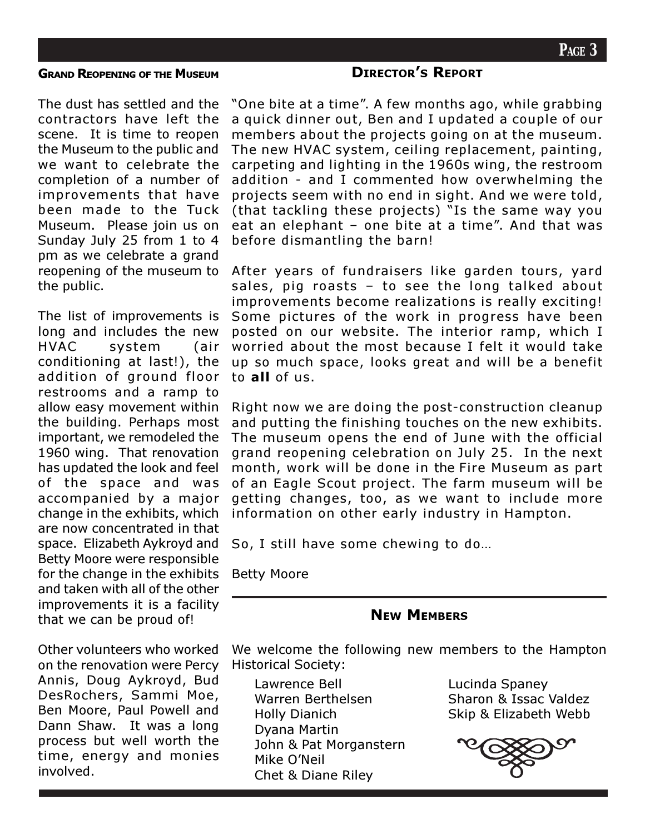#### GRAND REOPENING OF THE MUSEUM

The dust has settled and the contractors have left the scene. It is time to reopen the Museum to the public and we want to celebrate the completion of a number of improvements that have been made to the Tuck Museum. Please join us on Sunday July 25 from 1 to 4 pm as we celebrate a grand reopening of the museum to the public.

The list of improvements is long and includes the new HVAC system (air conditioning at last!), the addition of ground floor restrooms and a ramp to allow easy movement within the building. Perhaps most important, we remodeled the 1960 wing. That renovation has updated the look and feel of the space and was accompanied by a major change in the exhibits, which are now concentrated in that space. Elizabeth Aykroyd and Betty Moore were responsible for the change in the exhibits and taken with all of the other improvements it is a facility that we can be proud of!

Other volunteers who worked on the renovation were Percy Annis, Doug Aykroyd, Bud DesRochers, Sammi Moe, Ben Moore, Paul Powell and Dann Shaw. It was a long process but well worth the time, energy and monies involved.

"One bite at a time". A few months ago, while grabbing a quick dinner out, Ben and I updated a couple of our members about the projects going on at the museum. The new HVAC system, ceiling replacement, painting, carpeting and lighting in the 1960s wing, the restroom addition - and I commented how overwhelming the projects seem with no end in sight. And we were told, (that tackling these projects) "Is the same way you eat an elephant – one bite at a time". And that was before dismantling the barn!

After years of fundraisers like garden tours, yard sales, pig roasts – to see the long talked about improvements become realizations is really exciting! Some pictures of the work in progress have been posted on our website. The interior ramp, which I worried about the most because I felt it would take up so much space, looks great and will be a benefit to all of us.

Right now we are doing the post-construction cleanup and putting the finishing touches on the new exhibits. The museum opens the end of June with the official grand reopening celebration on July 25. In the next month, work will be done in the Fire Museum as part of an Eagle Scout project. The farm museum will be getting changes, too, as we want to include more information on other early industry in Hampton.

So, I still have some chewing to do…

Betty Moore

### NEW MEMBERS

We welcome the following new members to the Hampton Historical Society:

Lawrence Bell Warren Berthelsen Holly Dianich Dyana Martin John & Pat Morganstern Mike O'Neil Chet & Diane Riley

Lucinda Spaney Sharon & Issac Valdez Skip & Elizabeth Webb



### DIRECTOR'S REPORT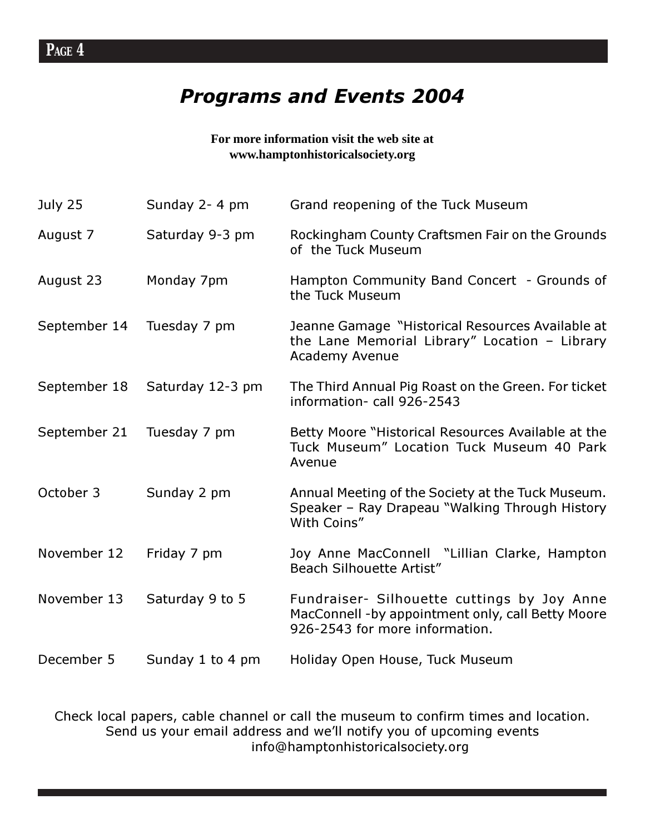### Programs and Events 2004

### **For more information visit the web site at www.hamptonhistoricalsociety.org**

| July 25      | Sunday 2-4 pm    | Grand reopening of the Tuck Museum                                                                                                 |  |
|--------------|------------------|------------------------------------------------------------------------------------------------------------------------------------|--|
| August 7     | Saturday 9-3 pm  | Rockingham County Craftsmen Fair on the Grounds<br>of the Tuck Museum                                                              |  |
| August 23    | Monday 7pm       | Hampton Community Band Concert - Grounds of<br>the Tuck Museum                                                                     |  |
| September 14 | Tuesday 7 pm     | Jeanne Gamage "Historical Resources Available at<br>the Lane Memorial Library" Location - Library<br>Academy Avenue                |  |
| September 18 | Saturday 12-3 pm | The Third Annual Pig Roast on the Green. For ticket<br>information-call 926-2543                                                   |  |
| September 21 | Tuesday 7 pm     | Betty Moore "Historical Resources Available at the<br>Tuck Museum" Location Tuck Museum 40 Park<br>Avenue                          |  |
| October 3    | Sunday 2 pm      | Annual Meeting of the Society at the Tuck Museum.<br>Speaker - Ray Drapeau "Walking Through History<br>With Coins"                 |  |
| November 12  | Friday 7 pm      | Joy Anne MacConnell "Lillian Clarke, Hampton<br><b>Beach Silhouette Artist"</b>                                                    |  |
| November 13  | Saturday 9 to 5  | Fundraiser- Silhouette cuttings by Joy Anne<br>MacConnell -by appointment only, call Betty Moore<br>926-2543 for more information. |  |
| December 5   | Sunday 1 to 4 pm | Holiday Open House, Tuck Museum                                                                                                    |  |

Check local papers, cable channel or call the museum to confirm times and location. Send us your email address and we'll notify you of upcoming events info@hamptonhistoricalsociety.org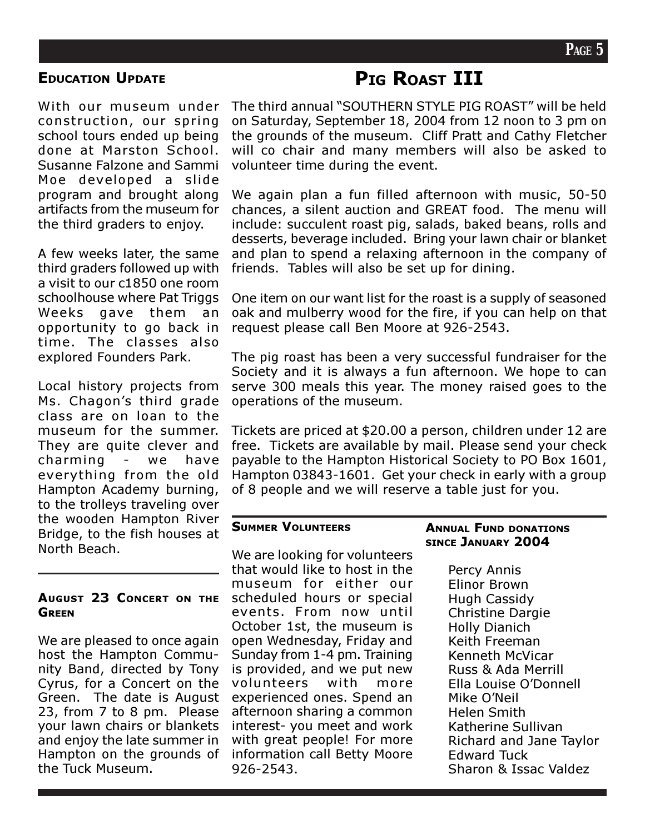With our museum under construction, our spring school tours ended up being done at Marston School. Susanne Falzone and Sammi Moe developed a slide program and brought along artifacts from the museum for the third graders to enjoy.

A few weeks later, the same third graders followed up with a visit to our c1850 one room schoolhouse where Pat Triggs Weeks gave them an opportunity to go back in time. The classes also explored Founders Park.

Local history projects from Ms. Chagon's third grade class are on loan to the museum for the summer. They are quite clever and charming - we have everything from the old Hampton Academy burning, to the trolleys traveling over the wooden Hampton River Bridge, to the fish houses at North Beach.

### AUGUST 23 CONCERT ON THE **GREEN**

We are pleased to once again host the Hampton Community Band, directed by Tony Cyrus, for a Concert on the Green. The date is August 23, from 7 to 8 pm. Please your lawn chairs or blankets and enjoy the late summer in Hampton on the grounds of the Tuck Museum.

### EDUCATION UPDATE **PIG ROAST III**

The third annual "SOUTHERN STYLE PIG ROAST" will be held on Saturday, September 18, 2004 from 12 noon to 3 pm on the grounds of the museum. Cliff Pratt and Cathy Fletcher will co chair and many members will also be asked to volunteer time during the event.

We again plan a fun filled afternoon with music, 50-50 chances, a silent auction and GREAT food. The menu will include: succulent roast pig, salads, baked beans, rolls and desserts, beverage included. Bring your lawn chair or blanket and plan to spend a relaxing afternoon in the company of friends. Tables will also be set up for dining.

One item on our want list for the roast is a supply of seasoned oak and mulberry wood for the fire, if you can help on that request please call Ben Moore at 926-2543.

The pig roast has been a very successful fundraiser for the Society and it is always a fun afternoon. We hope to can serve 300 meals this year. The money raised goes to the operations of the museum.

Tickets are priced at \$20.00 a person, children under 12 are free. Tickets are available by mail. Please send your check payable to the Hampton Historical Society to PO Box 1601, Hampton 03843-1601. Get your check in early with a group of 8 people and we will reserve a table just for you.

### SUMMER VOLUNTEERS

We are looking for volunteers that would like to host in the museum for either our scheduled hours or special events. From now until October 1st, the museum is open Wednesday, Friday and Sunday from 1-4 pm. Training is provided, and we put new volunteers with more experienced ones. Spend an afternoon sharing a common interest- you meet and work with great people! For more information call Betty Moore 926-2543.

### ANNUAL FUND DONATIONS SINCE JANUARY 2004

Percy Annis Elinor Brown Hugh Cassidy Christine Dargie Holly Dianich Keith Freeman Kenneth McVicar Russ & Ada Merrill Ella Louise O'Donnell Mike O'Neil Helen Smith Katherine Sullivan Richard and Jane Taylor Edward Tuck Sharon & Issac Valdez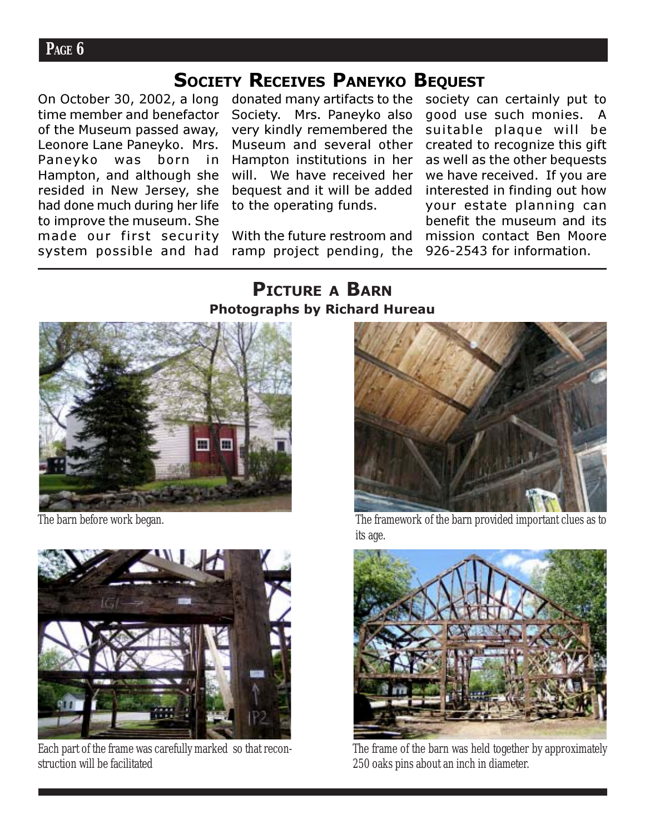### **PAGE 6**

### SOCIETY RECEIVES PANEYKO BEQUEST

On October 30, 2002, a long time member and benefactor of the Museum passed away, Leonore Lane Paneyko. Mrs. Paneyko was born in Hampton, and although she resided in New Jersey, she had done much during her life to improve the museum. She made our first security system possible and had

donated many artifacts to the Society. Mrs. Paneyko also very kindly remembered the Museum and several other Hampton institutions in her will. We have received her bequest and it will be added to the operating funds.

With the future restroom and ramp project pending, the society can certainly put to good use such monies. A suitable plaque will be created to recognize this gift as well as the other bequests we have received. If you are interested in finding out how your estate planning can benefit the museum and its mission contact Ben Moore 926-2543 for information.

### PICTURE <sup>A</sup> BARN Photographs by Richard Hureau





Each part of the frame was carefully marked so that reconstruction will be facilitated



The barn before work began. The framework of the barn provided important clues as to its age.



The frame of the barn was held together by approximately 250 oaks pins about an inch in diameter.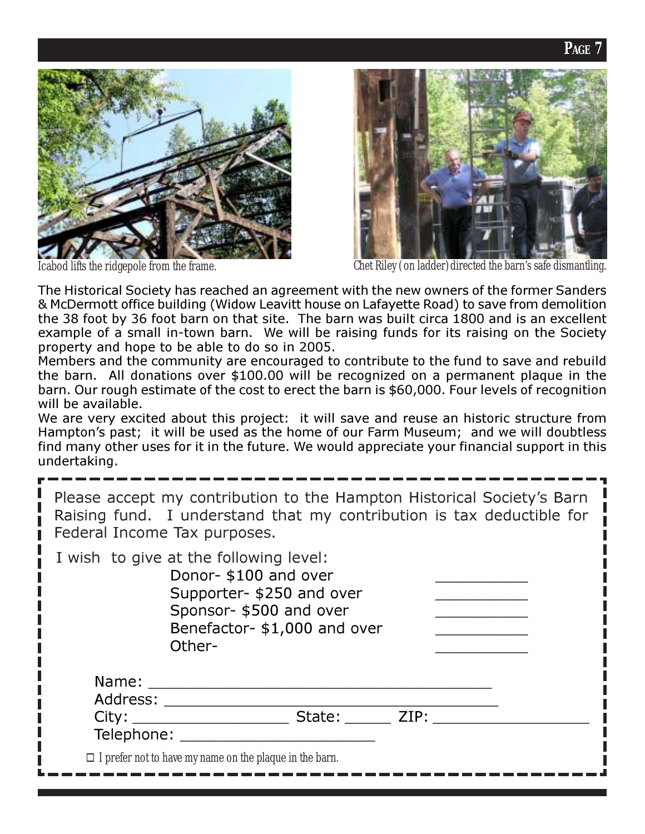



Icabod lifts the ridgepole from the frame. Chet Riley (on ladder)directed the barn's safe dismantling.

The Historical Society has reached an agreement with the new owners of the former Sanders & McDermott office building (Widow Leavitt house on Lafayette Road) to save from demolition the 38 foot by 36 foot barn on that site. The barn was built circa 1800 and is an excellent example of a small in-town barn. We will be raising funds for its raising on the Society property and hope to be able to do so in 2005.

Members and the community are encouraged to contribute to the fund to save and rebuild the barn. All donations over \$100.00 will be recognized on a permanent plaque in the barn. Our rough estimate of the cost to erect the barn is \$60,000. Four levels of recognition will be available.

We are very excited about this project: it will save and reuse an historic structure from Hampton's past; it will be used as the home of our Farm Museum; and we will doubtless find many other uses for it in the future. We would appreciate your financial support in this undertaking.

| Please accept my contribution to the Hampton Historical Society's Barn |
|------------------------------------------------------------------------|
| Raising fund. I understand that my contribution is tax deductible for  |
| Federal Income Tax purposes.                                           |

I wish to give at the following level: Donor- \$100 and over Supporter- \$250 and over Sponsor- \$500 and over Benefactor- \$1,000 and over Other- \_\_\_\_\_\_\_\_\_\_

| Name:<br>Address:   |        |      |  |
|---------------------|--------|------|--|
| City:<br>Telephone: | State: | ZIP: |  |

 $\Box$  I prefer not to have my name on the plaque in the barn.